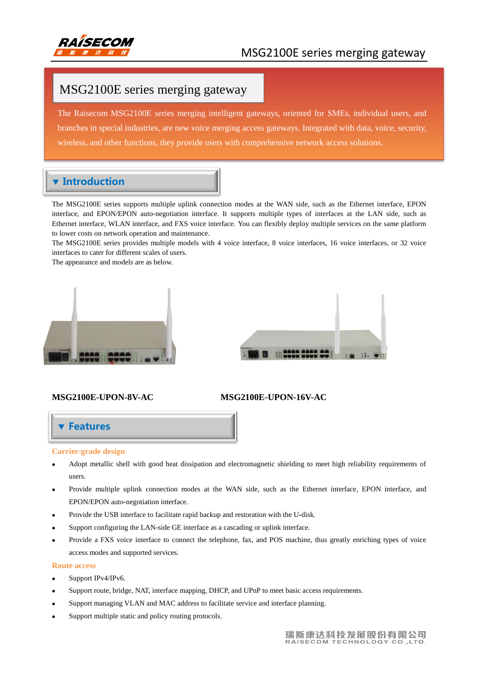

# MSG2100E series merging gateway

The Raisecom MSG2100E series merging intelligent gateways, oriented for SMEs, individual users, and branches in special industries, are new voice merging access gateways. Integrated with data, voice, security, wireless, and other functions, they provide users with comprehensive network access solutions.

## **v** Introduction

The MSG2100E series supports multiple uplink connection modes at the WAN side, such as the Ethernet interface, EPON interface, and EPON/EPON auto-negotiation interface. It supports multiple types of interfaces at the LAN side, such as Ethernet interface, WLAN interface, and FXS voice interface. You can flexibly deploy multiple services on the same platform to lower costs on network operation and maintenance.

The MSG2100E series provides multiple models with 4 voice interface, 8 voice interfaces, 16 voice interfaces, or 32 voice interfaces to cater for different scales of users.

The appearance and models are as below.





# Features

#### **Carrier-grade design**

- Adopt metallic shell with good heat dissipation and electromagnetic shielding to meet high reliability requirements of users.
- Provide multiple uplink connection modes at the WAN side, such as the Ethernet interface, EPON interface, and EPON/EPON auto-negotiation interface.
- Provide the USB interface to facilitate rapid backup and restoration with the U-disk.
- Support configuring the LAN-side GE interface as a cascading or uplink interface.
- Provide a FXS voice interface to connect the telephone, fax, and POS machine, thus greatly enriching types of voice access modes and supported services.

#### **Route access**

- Support IPv4/IPv6.
- Support route, bridge, NAT, interface mapping, DHCP, and UPnP to meet basic access requirements.
- Support managing VLAN and MAC address to facilitate service and interface planning.
- Support multiple static and policy routing protocols.

### **MSG2100E-UPON-8V-AC MSG2100E-UPON-16V-AC**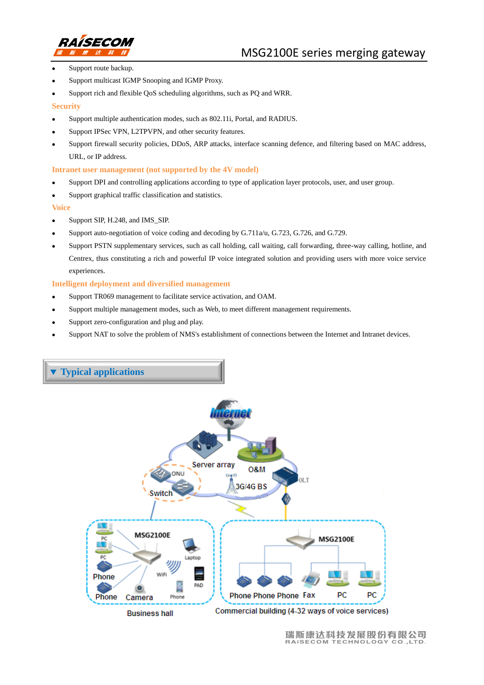

- Support route backup.
- Support multicast IGMP Snooping and IGMP Proxy.
- Support rich and flexible QoS scheduling algorithms, such as PQ and WRR.

#### **Security**

- Support multiple authentication modes, such as 802.11i, Portal, and RADIUS.
- Support IPSec VPN, L2TPVPN, and other security features.
- Support firewall security policies, DDoS, ARP attacks, interface scanning defence, and filtering based on MAC address, URL, or IP address.

#### **Intranet user management (not supported by the 4V model)**

- Support DPI and controlling applications according to type of application layer protocols, user, and user group.
- Support graphical traffic classification and statistics.

#### **Voice**

- Support SIP, H.248, and IMS\_SIP.
- Support auto-negotiation of voice coding and decoding by G.711a/u, G.723, G.726, and G.729.
- Support PSTN supplementary services, such as call holding, call waiting, call forwarding, three-way calling, hotline, and Centrex, thus constituting a rich and powerful IP voice integrated solution and providing users with more voice service experiences.

#### **Intelligent deployment and diversified management**

- Support TR069 management to facilitate service activation, and OAM.
- Support multiple management modes, such as Web, to meet different management requirements.
- Support zero-configuration and plug and play.
- Support NAT to solve the problem of NMS's establishment of connections between the Internet and Intranet devices.

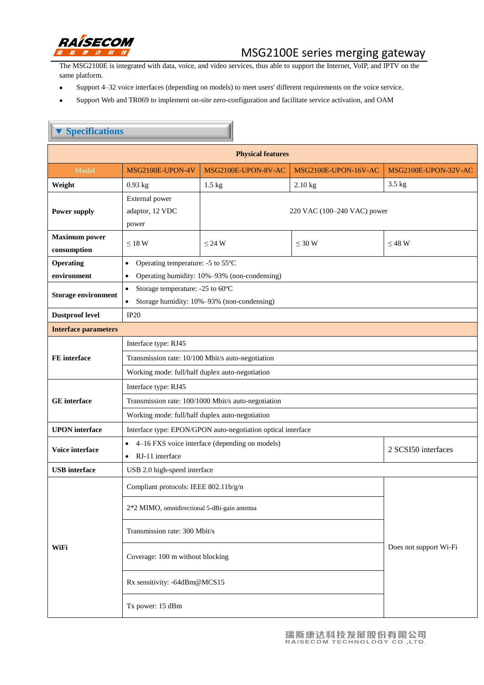

 $\mathbb R$ 

# MSG2100E series merging gateway

The MSG2100E is integrated with data, voice, and video services, thus able to support the Internet, VoIP, and IPTV on the same platform.

Support 4–32 voice interfaces (depending on models) to meet users' different requirements on the voice service.

z

Support Web and TR069 to implement on-site zero-configuration and facilitate service activation, and OAM

| <b>Specifications</b>                     |                                                                                       |                             |                      |                      |  |
|-------------------------------------------|---------------------------------------------------------------------------------------|-----------------------------|----------------------|----------------------|--|
| <b>Physical features</b>                  |                                                                                       |                             |                      |                      |  |
| <b>Model</b>                              | MSG2100E-UPON-4V                                                                      | MSG2100E-UPON-8V-AC         | MSG2100E-UPON-16V-AC | MSG2100E-UPON-32V-AC |  |
| Weight                                    | $0.93$ kg                                                                             | $1.5$ kg                    | $2.10$ kg            | 3.5 kg               |  |
| <b>Power supply</b>                       | External power<br>adaptor, 12 VDC<br>power                                            | 220 VAC (100–240 VAC) power |                      |                      |  |
| <b>Maximum</b> power<br>$\bf consumption$ | $\leq$ 18 W                                                                           | $\leq$ 24 W                 | $\leq 30$ W          | $\leq$ 48 W          |  |
| Operating                                 | Operating temperature: -5 to 55 $\mathbb C$<br>$\bullet$                              |                             |                      |                      |  |
| environment                               | Operating humidity: 10%-93% (non-condensing)                                          |                             |                      |                      |  |
| <b>Storage environment</b>                | Storage temperature: -25 to 60 $\mathbb C$<br>$\bullet$                               |                             |                      |                      |  |
|                                           | Storage humidity: 10%-93% (non-condensing)<br>$\bullet$                               |                             |                      |                      |  |
| <b>Dustproof level</b>                    | IP20                                                                                  |                             |                      |                      |  |
| <b>Interface parameters</b>               |                                                                                       |                             |                      |                      |  |
|                                           | Interface type: RJ45                                                                  |                             |                      |                      |  |
| FE interface<br><b>GE</b> interface       | Transmission rate: 10/100 Mbit/s auto-negotiation                                     |                             |                      |                      |  |
|                                           | Working mode: full/half duplex auto-negotiation                                       |                             |                      |                      |  |
|                                           | Interface type: RJ45                                                                  |                             |                      |                      |  |
|                                           | Transmission rate: 100/1000 Mbit/s auto-negotiation                                   |                             |                      |                      |  |
|                                           | Working mode: full/half duplex auto-negotiation                                       |                             |                      |                      |  |
| <b>UPON</b> interface                     | Interface type: EPON/GPON auto-negotiation optical interface                          |                             |                      |                      |  |
| Voice interface                           | 4–16 FXS voice interface (depending on models)                                        |                             |                      | 2 SCSI50 interfaces  |  |
|                                           | RJ-11 interface<br>$\bullet$                                                          |                             |                      |                      |  |
| <b>USB</b> interface                      | USB 2.0 high-speed interface                                                          |                             |                      |                      |  |
| WiFi                                      | Compliant protocols: IEEE 802.11b/g/n<br>2*2 MIMO, omnidirectional 5-dBi-gain antenna |                             |                      |                      |  |
|                                           | Transmission rate: 300 Mbit/s                                                         |                             |                      |                      |  |
|                                           | Coverage: 100 m without blocking                                                      | Does not support Wi-Fi      |                      |                      |  |
|                                           | Rx sensitivity: -64dBm@MCS15                                                          |                             |                      |                      |  |
|                                           | Tx power: 15 dBm                                                                      |                             |                      |                      |  |